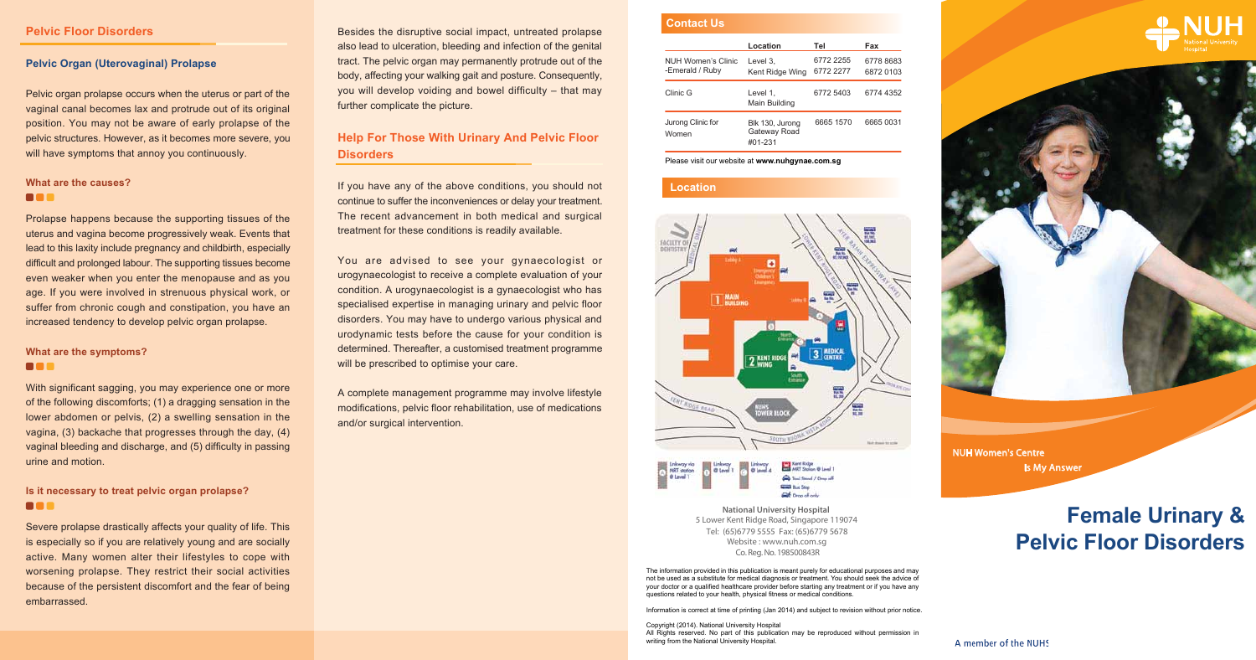The information provided in this publication is meant purely for educational purposes and may not be used as a substitute for medical diagnosis or treatment. You should seek the advice of your doctor or a qualified healthcare provider before starting any treatment or if you have any questions related to your health, physical fitness or medical conditions.

Information is correct at time of printing (Jan 2014) and subject to revision without prior notice.

Copyright (2014). National University Hospital All Rights reserved. No part of this publication may be reproduced without permission in writing from the National University Hospital.





Co. Reg. No. 198500843R **National University Hospital**  5 Lower Kent Ridge Road, Singapore 119074 Website : www.nuh.com.sg Tel: (65)6779 5555 Fax: (65)6779 5678

You are advised to see your gynaecologist or urogynaecologist to receive a complete evaluation of your condition. A urogynaecologist is a gynaecologist who has specialised expertise in managing urinary and pelvic floor disorders. You may have to undergo various physical and urodynamic tests before the cause for your condition is determined. Thereafter, a customised treatment programme will be prescribed to optimise your care.

> NUH Women's Centre Is My Answer

# **Female Urinary & Pelvic Floor Disorders**

A member of the NUHS

Besides the disruptive social impact, untreated prolapse also lead to ulceration, bleeding and infection of the genital tract. The pelvic organ may permanently protrude out of the body, affecting your walking gait and posture. Consequently, you will develop voiding and bowel difficulty – that may further complicate the picture.

Pelvic organ prolapse occurs when the uterus or part of the vaginal canal becomes lax and protrude out of its original position. You may not be aware of early prolapse of the pelvic structures. However, as it becomes more severe, you will have symptoms that annoy you continuously.

#### **What are the causes? BBB**

# **Help For Those With Urinary And Pelvic Floor Disorders**

If you have any of the above conditions, you should not continue to suffer the inconveniences or delay your treatment. The recent advancement in both medical and surgical treatment for these conditions is readily available.

#### **What are the symptoms? BOR**

### **Is it necessary to treat pelvic organ prolapse? BOR**

A complete management programme may involve lifestyle modifications, pelvic floor rehabilitation, use of medications and/or surgical intervention.

#### **Pelvic Floor Disorders**

#### **Pelvic Organ (Uterovaginal) Prolapse**

Prolapse happens because the supporting tissues of the uterus and vagina become progressively weak. Events that lead to this laxity include pregnancy and childbirth, especially difficult and prolonged labour. The supporting tissues become even weaker when you enter the menopause and as you age. If you were involved in strenuous physical work, or suffer from chronic cough and constipation, you have an increased tendency to develop pelvic organ prolapse.

With significant sagging, you may experience one or more of the following discomforts; (1) a dragging sensation in the lower abdomen or pelvis, (2) a swelling sensation in the vagina, (3) backache that progresses through the day, (4) vaginal bleeding and discharge, and (5) difficulty in passing urine and motion.

Severe prolapse drastically affects your quality of life. This is especially so if you are relatively young and are socially active. Many women alter their lifestyles to cope with worsening prolapse. They restrict their social activities because of the persistent discomfort and the fear of being embarrassed.

## **Contact Us**

# **Location**



|                                       | Location                                   | Tel                    | Fax                    |
|---------------------------------------|--------------------------------------------|------------------------|------------------------|
| NUH Women's Clinic<br>-Emerald / Ruby | Level 3.<br>Kent Ridge Wing                | 6772 2255<br>6772 2277 | 6778 8683<br>6872 0103 |
| Clinic G                              | Level 1.<br>Main Building                  | 6772 5403              | 6774 4352              |
| Jurong Clinic for<br>Women            | Blk 130, Jurong<br>Gateway Road<br>#01-231 | 6665 1570              | 6665 0031              |

Please visit our website at **www.nuhgynae.com.sg**